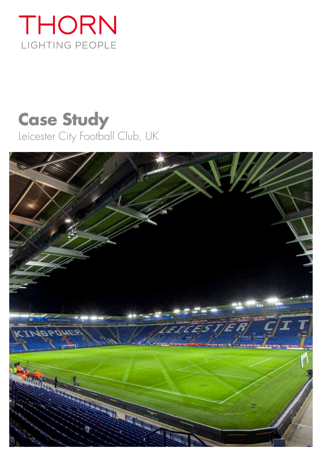# THORN LIGHTING PEOPLE

## **Case Study** Leicester City Football Club, UK

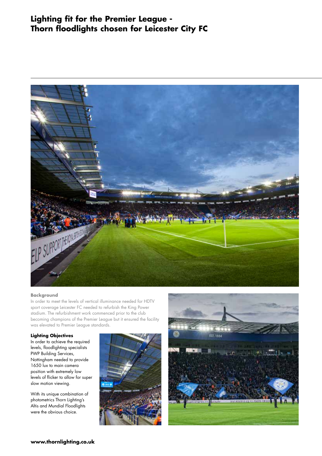### **Lighting fit for the Premier League - Thorn floodlights chosen for Leicester City FC**



#### **Background**

In order to meet the levels of vertical illuminance needed for HDTV sport coverage Leicester FC needed to refurbish the King Power stadium. The refurbishment work commenced prior to the club becoming champions of the Premier League but it ensured the facility was elevated to Premier League standards.

#### **Lighting Objectives**

In order to achieve the required levels, floodlighting specialists PWP Building Services, Nottingham needed to provide 1650 lux to main camera position with extremely low levels of flicker to allow for super slow motion viewing.

With its unique combination of photometrics Thorn Lighting's Altis and Mundial Floodlights were the obvious choice.



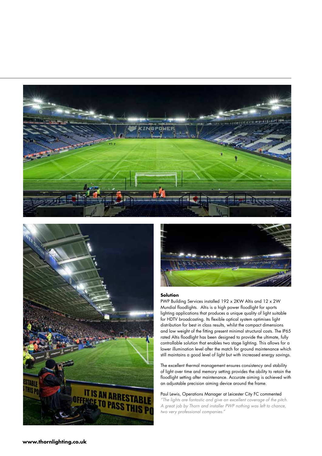





#### **Solution**

PWP Building Services installed 192 x 2KW Altis and 12 x 2W Mundial floodlights. Altis is a high power floodlight for sports lighting applications that produces a unique quality of light suitable for HDTV broadcasting. Its flexible optical system optimises light distribution for best in class results, whilst the compact dimensions and low weight of the fitting present minimal structural costs. The IP65 rated Altis floodlight has been designed to provide the ultimate, fully controllable solution that enables two stage lighting. This allows for a lower illumination level after the match for ground maintenance which still maintains a good level of light but with increased energy savings.

The excellent thermal management ensures consistency and stability of light over time and memory setting provides the ability to retain the floodlight setting after maintenance. Accurate aiming is achieved with an adjustable precision aiming device around the frame.

Paul Lewis, Operations Manager at Leicester City FC commented *"The lights are fantastic and give an excellent coverage of the pitch. A great job by Thorn and installer PWP nothing was left to chance, two very professional companies."*